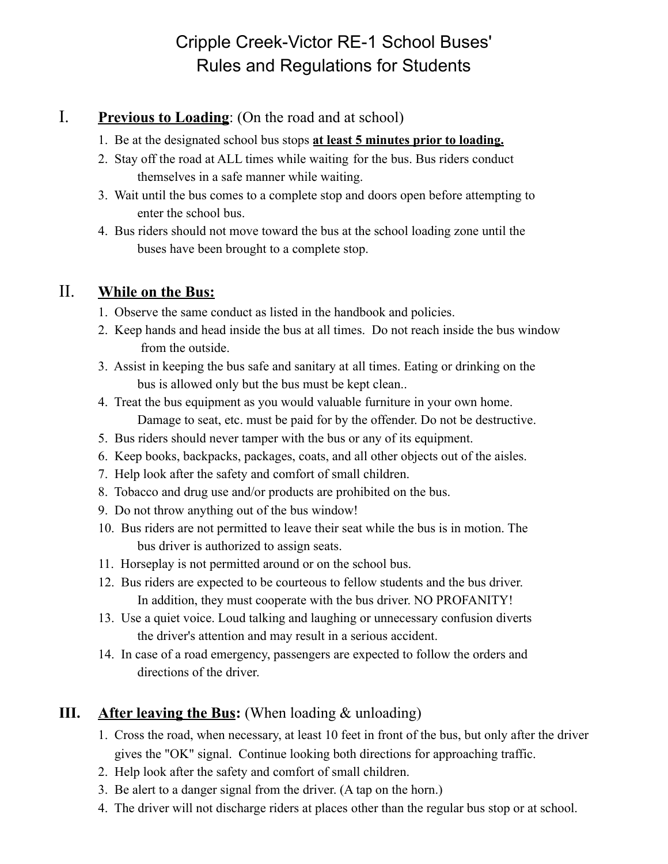## Cripple Creek-Victor RE-1 School Buses' Rules and Regulations for Students

#### I. **Previous to Loading**: (On the road and at school)

- 1. Be at the designated school bus stops **at least 5 minutes prior to loading.**
- 2. Stay off the road at ALL times while waiting for the bus. Bus riders conduct themselves in a safe manner while waiting.
- 3. Wait until the bus comes to a complete stop and doors open before attempting to enter the school bus.
- 4. Bus riders should not move toward the bus at the school loading zone until the buses have been brought to a complete stop.

#### II. **While on the Bus:**

- 1. Observe the same conduct as listed in the handbook and policies.
- 2. Keep hands and head inside the bus at all times. Do not reach inside the bus window from the outside.
- 3. Assist in keeping the bus safe and sanitary at all times. Eating or drinking on the bus is allowed only but the bus must be kept clean..
- 4. Treat the bus equipment as you would valuable furniture in your own home. Damage to seat, etc. must be paid for by the offender. Do not be destructive.
- 5. Bus riders should never tamper with the bus or any of its equipment.
- 6. Keep books, backpacks, packages, coats, and all other objects out of the aisles.
- 7. Help look after the safety and comfort of small children.
- 8. Tobacco and drug use and/or products are prohibited on the bus.
- 9. Do not throw anything out of the bus window!
- 10. Bus riders are not permitted to leave their seat while the bus is in motion. The bus driver is authorized to assign seats.
- 11. Horseplay is not permitted around or on the school bus.
- 12. Bus riders are expected to be courteous to fellow students and the bus driver. In addition, they must cooperate with the bus driver. NO PROFANITY!
- 13. Use a quiet voice. Loud talking and laughing or unnecessary confusion diverts the driver's attention and may result in a serious accident.
- 14. In case of a road emergency, passengers are expected to follow the orders and directions of the driver.

#### **III. After leaving the Bus:** (When loading & unloading)

- 1. Cross the road, when necessary, at least 10 feet in front of the bus, but only after the driver gives the "OK" signal. Continue looking both directions for approaching traffic.
- 2. Help look after the safety and comfort of small children.
- 3. Be alert to a danger signal from the driver. (A tap on the horn.)
- 4. The driver will not discharge riders at places other than the regular bus stop or at school.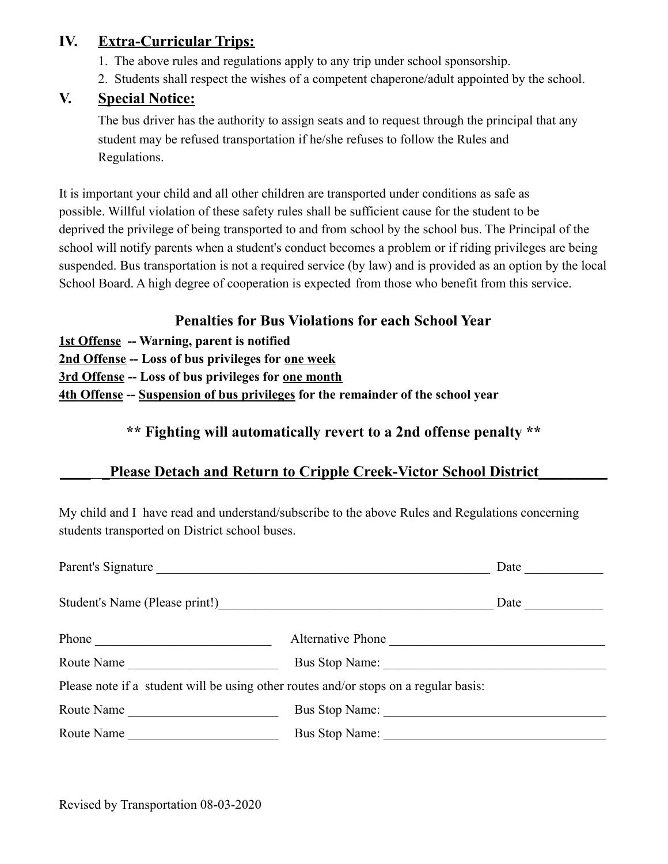#### **IV. Extra-Curricular Trips:**

- 1. The above rules and regulations apply to any trip under school sponsorship.
- 2. Students shall respect the wishes of a competent chaperone/adult appointed by the school.

#### **V. Special Notice:**

The bus driver has the authority to assign seats and to request through the principal that any student may be refused transportation if he/she refuses to follow the Rules and Regulations.

It is important your child and all other children are transported under conditions as safe as possible. Willful violation of these safety rules shall be sufficient cause for the student to be deprived the privilege of being transported to and from school by the school bus. The Principal of the school will notify parents when a student's conduct becomes a problem or if riding privileges are being suspended. Bus transportation is not a required service (by law) and is provided as an option by the local School Board. A high degree of cooperation is expected from those who benefit from this service.

#### **Penalties for Bus Violations for each School Year**

- **1st Offense -- Warning, parent is notified**
- **2nd Offense -- Loss of bus privileges for one week**
- **3rd Offense -- Loss of bus privileges for one month**

**4th Offense -- Suspension of bus privileges for the remainder of the school year**

#### **\*\* Fighting will automatically revert to a 2nd offense penalty \*\***

#### **\_\_\_\_ \_Please Detach and Return to Cripple Creek-Victor School District\_\_\_\_\_\_\_\_\_**

My child and I have read and understand/subscribe to the above Rules and Regulations concerning students transported on District school buses.

| Parent's Signature                                                                                                                                                                                                                    |                   | Date                 |
|---------------------------------------------------------------------------------------------------------------------------------------------------------------------------------------------------------------------------------------|-------------------|----------------------|
| Student's Name (Please print!)<br><u>Letter and the contract of the students</u> of the students of the students of the students of the students of the students of the students of the students of the students of the students of t |                   | Date $\qquad \qquad$ |
| Phone                                                                                                                                                                                                                                 | Alternative Phone |                      |
| Route Name                                                                                                                                                                                                                            |                   |                      |
| Please note if a student will be using other routes and/or stops on a regular basis:                                                                                                                                                  |                   |                      |
| Route Name                                                                                                                                                                                                                            | Bus Stop Name:    |                      |
| Route Name                                                                                                                                                                                                                            | Bus Stop Name:    |                      |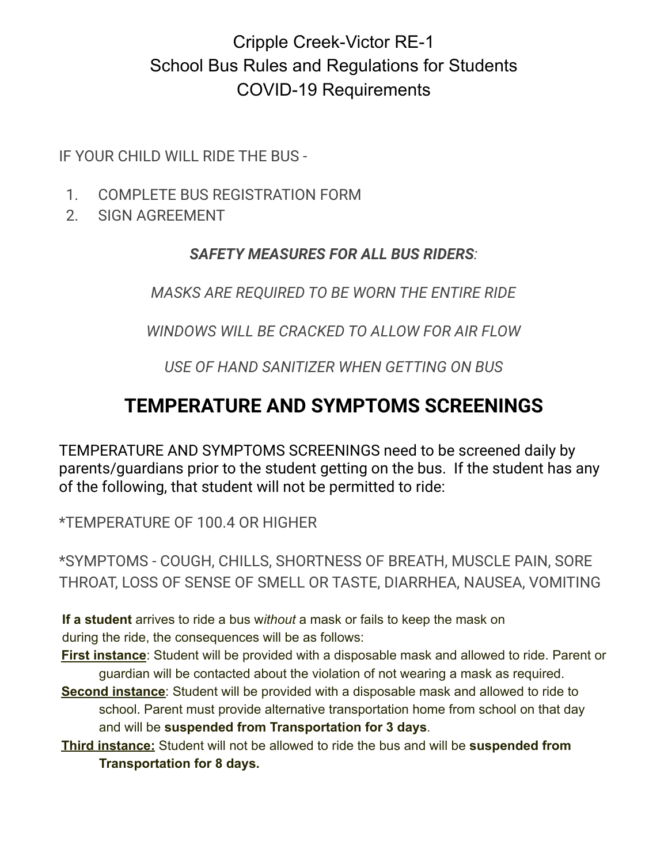## Cripple Creek-Victor RE-1 School Bus Rules and Regulations for Students COVID-19 Requirements

IF YOUR CHILD WILL RIDE THE BUS -

- 1. COMPLETE BUS REGISTRATION FORM
- 2. SIGN AGREEMENT

### *SAFETY MEASURES FOR ALL BUS RIDERS:*

*MASKS ARE REQUIRED TO BE WORN THE ENTIRE RIDE*

*WINDOWS WILL BE CRACKED TO ALLOW FOR AIR FLOW*

*USE OF HAND SANITIZER WHEN GETTING ON BUS*

# **TEMPERATURE AND SYMPTOMS SCREENINGS**

TEMPERATURE AND SYMPTOMS SCREENINGS need to be screened daily by parents/guardians prior to the student getting on the bus. If the student has any of the following, that student will not be permitted to ride:

\*TEMPERATURE OF 100.4 OR HIGHER

\*SYMPTOMS - COUGH, CHILLS, SHORTNESS OF BREATH, MUSCLE PAIN, SORE THROAT, LOSS OF SENSE OF SMELL OR TASTE, DIARRHEA, NAUSEA, VOMITING

**If a student** arrives to ride a bus w*ithout* a mask or fails to keep the mask on during the ride, the consequences will be as follows:

**First instance**: Student will be provided with a disposable mask and allowed to ride. Parent or guardian will be contacted about the violation of not wearing a mask as required.

- **Second instance**: Student will be provided with a disposable mask and allowed to ride to school. Parent must provide alternative transportation home from school on that day and will be **suspended from Transportation for 3 days**.
- **Third instance:** Student will not be allowed to ride the bus and will be **suspended from Transportation for 8 days.**